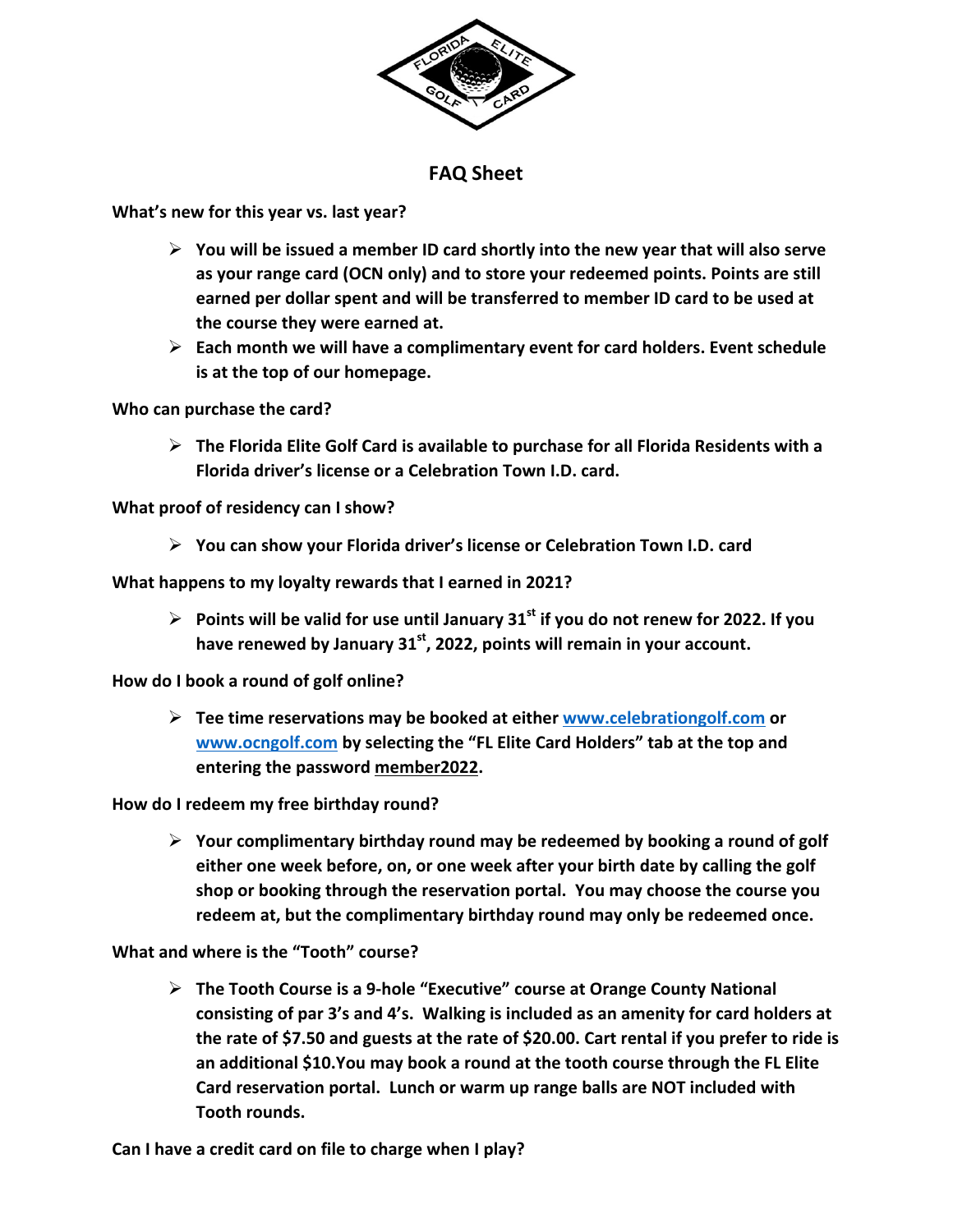

## **FAQ Sheet**

**What's new for this year vs. last year?** 

- **You will be issued a member ID card shortly into the new year that will also serve as your range card (OCN only) and to store your redeemed points. Points are still earned per dollar spent and will be transferred to member ID card to be used at the course they were earned at.**
- **Each month we will have a complimentary event for card holders. Event schedule is at the top of our homepage.**

**Who can purchase the card?** 

 **The Florida Elite Golf Card is available to purchase for all Florida Residents with a Florida driver's license or a Celebration Town I.D. card.** 

**What proof of residency can I show?** 

**You can show your Florida driver's license or Celebration Town I.D. card** 

**What happens to my loyalty rewards that I earned in 2021?** 

 $\triangleright$  Points will be valid for use until January 31<sup>st</sup> if you do not renew for 2022. If you have renewed by January 31<sup>st</sup>, 2022, points will remain in your account.

**How do I book a round of golf online?** 

 **Tee time reservations may be booked at either www.celebrationgolf.com or www.ocngolf.com by selecting the "FL Elite Card Holders" tab at the top and entering the password member2022.** 

**How do I redeem my free birthday round?** 

 **Your complimentary birthday round may be redeemed by booking a round of golf either one week before, on, or one week after your birth date by calling the golf shop or booking through the reservation portal. You may choose the course you redeem at, but the complimentary birthday round may only be redeemed once.** 

**What and where is the "Tooth" course?** 

 **The Tooth Course is a 9‐hole "Executive" course at Orange County National consisting of par 3's and 4's. Walking is included as an amenity for card holders at the rate of \$7.50 and guests at the rate of \$20.00. Cart rental if you prefer to ride is an additional \$10.You may book a round at the tooth course through the FL Elite Card reservation portal. Lunch or warm up range balls are NOT included with Tooth rounds.** 

**Can I have a credit card on file to charge when I play?**